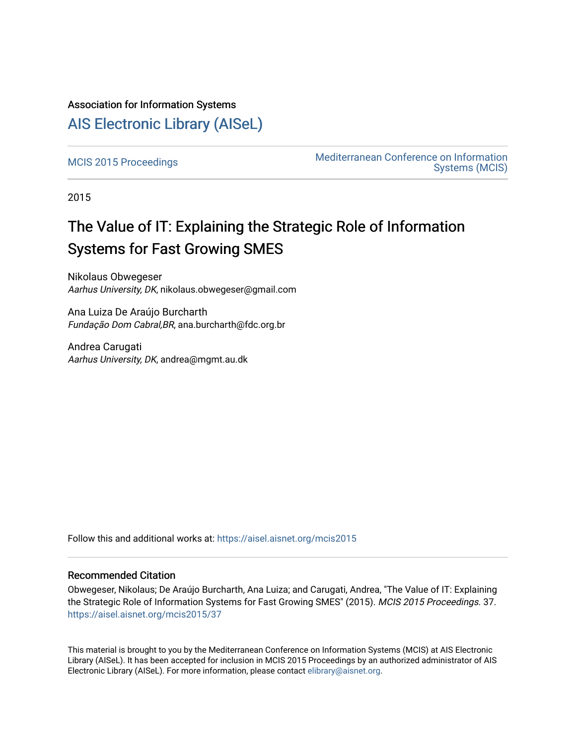### Association for Information Systems

## [AIS Electronic Library \(AISeL\)](https://aisel.aisnet.org/)

Mediterranean Conference on Information<br>Mediterranean Conference on Information [Systems \(MCIS\)](https://aisel.aisnet.org/mcis) 

2015

# The Value of IT: Explaining the Strategic Role of Information Systems for Fast Growing SMES

Nikolaus Obwegeser Aarhus University, DK, nikolaus.obwegeser@gmail.com

Ana Luiza De Araújo Burcharth Fundação Dom Cabral,BR, ana.burcharth@fdc.org.br

Andrea Carugati Aarhus University, DK, andrea@mgmt.au.dk

Follow this and additional works at: [https://aisel.aisnet.org/mcis2015](https://aisel.aisnet.org/mcis2015?utm_source=aisel.aisnet.org%2Fmcis2015%2F37&utm_medium=PDF&utm_campaign=PDFCoverPages)

#### Recommended Citation

Obwegeser, Nikolaus; De Araújo Burcharth, Ana Luiza; and Carugati, Andrea, "The Value of IT: Explaining the Strategic Role of Information Systems for Fast Growing SMES" (2015). MCIS 2015 Proceedings. 37. [https://aisel.aisnet.org/mcis2015/37](https://aisel.aisnet.org/mcis2015/37?utm_source=aisel.aisnet.org%2Fmcis2015%2F37&utm_medium=PDF&utm_campaign=PDFCoverPages) 

This material is brought to you by the Mediterranean Conference on Information Systems (MCIS) at AIS Electronic Library (AISeL). It has been accepted for inclusion in MCIS 2015 Proceedings by an authorized administrator of AIS Electronic Library (AISeL). For more information, please contact [elibrary@aisnet.org.](mailto:elibrary@aisnet.org%3E)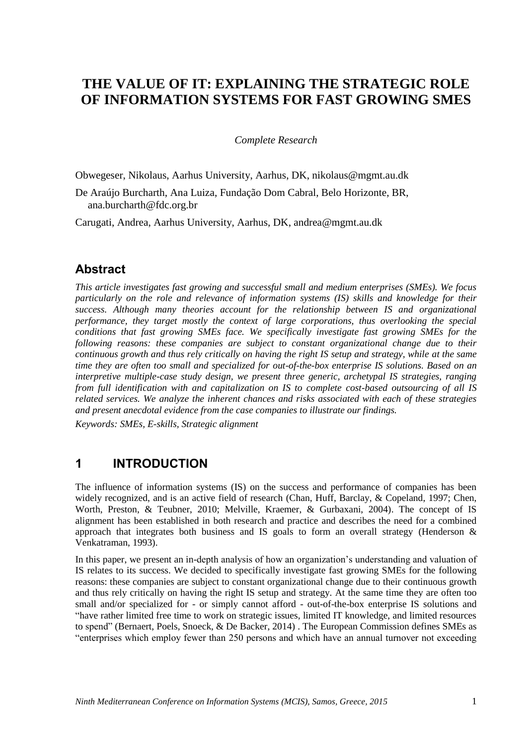## **THE VALUE OF IT: EXPLAINING THE STRATEGIC ROLE OF INFORMATION SYSTEMS FOR FAST GROWING SMES**

*Complete Research*

Obwegeser, Nikolaus, Aarhus University, Aarhus, DK, nikolaus@mgmt.au.dk

De Araújo Burcharth, Ana Luiza, Fundação Dom Cabral, Belo Horizonte, BR, ana.burcharth@fdc.org.br

Carugati, Andrea, Aarhus University, Aarhus, DK, andrea@mgmt.au.dk

### **Abstract**

*This article investigates fast growing and successful small and medium enterprises (SMEs). We focus particularly on the role and relevance of information systems (IS) skills and knowledge for their success. Although many theories account for the relationship between IS and organizational performance, they target mostly the context of large corporations, thus overlooking the special conditions that fast growing SMEs face. We specifically investigate fast growing SMEs for the following reasons: these companies are subject to constant organizational change due to their continuous growth and thus rely critically on having the right IS setup and strategy, while at the same time they are often too small and specialized for out-of-the-box enterprise IS solutions. Based on an interpretive multiple-case study design, we present three generic, archetypal IS strategies, ranging from full identification with and capitalization on IS to complete cost-based outsourcing of all IS related services. We analyze the inherent chances and risks associated with each of these strategies and present anecdotal evidence from the case companies to illustrate our findings.*

*Keywords: SMEs, E-skills, Strategic alignment*

### **1 INTRODUCTION**

The influence of information systems (IS) on the success and performance of companies has been widely recognized, and is an active field of research (Chan, Huff, Barclay, & Copeland, 1997; Chen, Worth, Preston, & Teubner, 2010; Melville, Kraemer, & Gurbaxani, 2004). The concept of IS alignment has been established in both research and practice and describes the need for a combined approach that integrates both business and IS goals to form an overall strategy (Henderson  $\&$ Venkatraman, 1993).

In this paper, we present an in-depth analysis of how an organization's understanding and valuation of IS relates to its success. We decided to specifically investigate fast growing SMEs for the following reasons: these companies are subject to constant organizational change due to their continuous growth and thus rely critically on having the right IS setup and strategy. At the same time they are often too small and/or specialized for - or simply cannot afford - out-of-the-box enterprise IS solutions and "have rather limited free time to work on strategic issues, limited IT knowledge, and limited resources to spend" (Bernaert, Poels, Snoeck, & De Backer, 2014) . The European Commission defines SMEs as "enterprises which employ fewer than 250 persons and which have an annual turnover not exceeding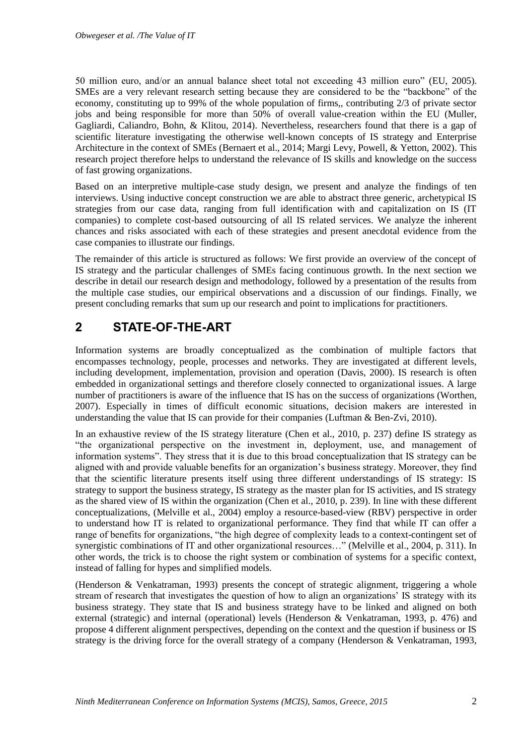50 million euro, and/or an annual balance sheet total not exceeding 43 million euro" (EU, 2005). SMEs are a very relevant research setting because they are considered to be the "backbone" of the economy, constituting up to 99% of the whole population of firms,, contributing 2/3 of private sector jobs and being responsible for more than 50% of overall value-creation within the EU (Muller, Gagliardi, Caliandro, Bohn, & Klitou, 2014). Nevertheless, researchers found that there is a gap of scientific literature investigating the otherwise well-known concepts of IS strategy and Enterprise Architecture in the context of SMEs (Bernaert et al., 2014; Margi Levy, Powell, & Yetton, 2002). This research project therefore helps to understand the relevance of IS skills and knowledge on the success of fast growing organizations.

Based on an interpretive multiple-case study design, we present and analyze the findings of ten interviews. Using inductive concept construction we are able to abstract three generic, archetypical IS strategies from our case data, ranging from full identification with and capitalization on IS (IT companies) to complete cost-based outsourcing of all IS related services. We analyze the inherent chances and risks associated with each of these strategies and present anecdotal evidence from the case companies to illustrate our findings.

The remainder of this article is structured as follows: We first provide an overview of the concept of IS strategy and the particular challenges of SMEs facing continuous growth. In the next section we describe in detail our research design and methodology, followed by a presentation of the results from the multiple case studies, our empirical observations and a discussion of our findings. Finally, we present concluding remarks that sum up our research and point to implications for practitioners.

## **2 STATE-OF-THE-ART**

Information systems are broadly conceptualized as the combination of multiple factors that encompasses technology, people, processes and networks. They are investigated at different levels, including development, implementation, provision and operation (Davis, 2000). IS research is often embedded in organizational settings and therefore closely connected to organizational issues. A large number of practitioners is aware of the influence that IS has on the success of organizations (Worthen, 2007). Especially in times of difficult economic situations, decision makers are interested in understanding the value that IS can provide for their companies (Luftman & Ben-Zvi, 2010).

In an exhaustive review of the IS strategy literature (Chen et al., 2010, p. 237) define IS strategy as "the organizational perspective on the investment in, deployment, use, and management of information systems". They stress that it is due to this broad conceptualization that IS strategy can be aligned with and provide valuable benefits for an organization's business strategy. Moreover, they find that the scientific literature presents itself using three different understandings of IS strategy: IS strategy to support the business strategy, IS strategy as the master plan for IS activities, and IS strategy as the shared view of IS within the organization (Chen et al., 2010, p. 239). In line with these different conceptualizations, (Melville et al., 2004) employ a resource-based-view (RBV) perspective in order to understand how IT is related to organizational performance. They find that while IT can offer a range of benefits for organizations, "the high degree of complexity leads to a context-contingent set of synergistic combinations of IT and other organizational resources..." (Melville et al., 2004, p. 311). In other words, the trick is to choose the right system or combination of systems for a specific context, instead of falling for hypes and simplified models.

(Henderson & Venkatraman, 1993) presents the concept of strategic alignment, triggering a whole stream of research that investigates the question of how to align an organizations' IS strategy with its business strategy. They state that IS and business strategy have to be linked and aligned on both external (strategic) and internal (operational) levels (Henderson & Venkatraman, 1993, p. 476) and propose 4 different alignment perspectives, depending on the context and the question if business or IS strategy is the driving force for the overall strategy of a company (Henderson & Venkatraman, 1993,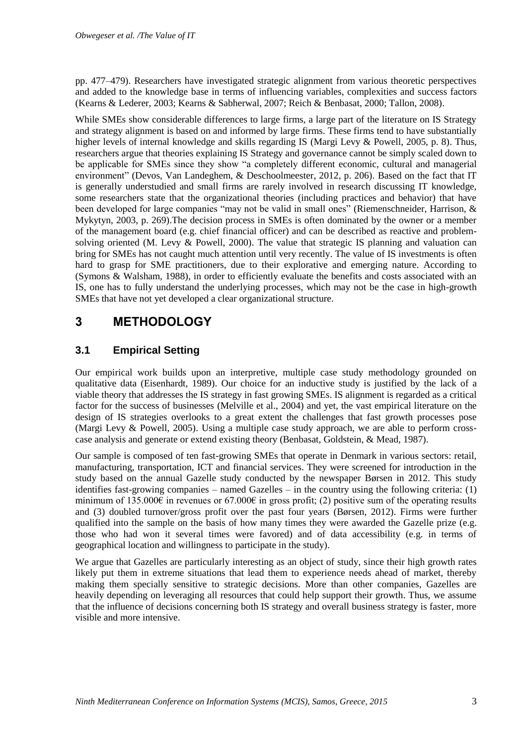pp. 477–479). Researchers have investigated strategic alignment from various theoretic perspectives and added to the knowledge base in terms of influencing variables, complexities and success factors (Kearns & Lederer, 2003; Kearns & Sabherwal, 2007; Reich & Benbasat, 2000; Tallon, 2008).

While SMEs show considerable differences to large firms, a large part of the literature on IS Strategy and strategy alignment is based on and informed by large firms. These firms tend to have substantially higher levels of internal knowledge and skills regarding IS (Margi Levy & Powell, 2005, p. 8). Thus, researchers argue that theories explaining IS Strategy and governance cannot be simply scaled down to be applicable for SMEs since they show "a completely different economic, cultural and managerial environment" (Devos, Van Landeghem, & Deschoolmeester, 2012, p. 206). Based on the fact that IT is generally understudied and small firms are rarely involved in research discussing IT knowledge, some researchers state that the organizational theories (including practices and behavior) that have been developed for large companies "may not be valid in small ones" (Riemenschneider, Harrison, & Mykytyn, 2003, p. 269).The decision process in SMEs is often dominated by the owner or a member of the management board (e.g. chief financial officer) and can be described as reactive and problemsolving oriented (M. Levy & Powell, 2000). The value that strategic IS planning and valuation can bring for SMEs has not caught much attention until very recently. The value of IS investments is often hard to grasp for SME practitioners, due to their explorative and emerging nature. According to (Symons & Walsham, 1988), in order to efficiently evaluate the benefits and costs associated with an IS, one has to fully understand the underlying processes, which may not be the case in high-growth SMEs that have not yet developed a clear organizational structure.

## **3 METHODOLOGY**

### **3.1 Empirical Setting**

Our empirical work builds upon an interpretive, multiple case study methodology grounded on qualitative data (Eisenhardt, 1989). Our choice for an inductive study is justified by the lack of a viable theory that addresses the IS strategy in fast growing SMEs. IS alignment is regarded as a critical factor for the success of businesses (Melville et al., 2004) and yet, the vast empirical literature on the design of IS strategies overlooks to a great extent the challenges that fast growth processes pose (Margi Levy & Powell, 2005). Using a multiple case study approach, we are able to perform crosscase analysis and generate or extend existing theory (Benbasat, Goldstein, & Mead, 1987).

Our sample is composed of ten fast-growing SMEs that operate in Denmark in various sectors: retail, manufacturing, transportation, ICT and financial services. They were screened for introduction in the study based on the annual Gazelle study conducted by the newspaper Børsen in 2012. This study identifies fast-growing companies – named Gazelles – in the country using the following criteria: (1) minimum of  $135.000\text{€}$  in revenues or  $67.000\text{€}$  in gross profit; (2) positive sum of the operating results and (3) doubled turnover/gross profit over the past four years (Børsen, 2012). Firms were further qualified into the sample on the basis of how many times they were awarded the Gazelle prize (e.g. those who had won it several times were favored) and of data accessibility (e.g. in terms of geographical location and willingness to participate in the study).

We argue that Gazelles are particularly interesting as an object of study, since their high growth rates likely put them in extreme situations that lead them to experience needs ahead of market, thereby making them specially sensitive to strategic decisions. More than other companies, Gazelles are heavily depending on leveraging all resources that could help support their growth. Thus, we assume that the influence of decisions concerning both IS strategy and overall business strategy is faster, more visible and more intensive.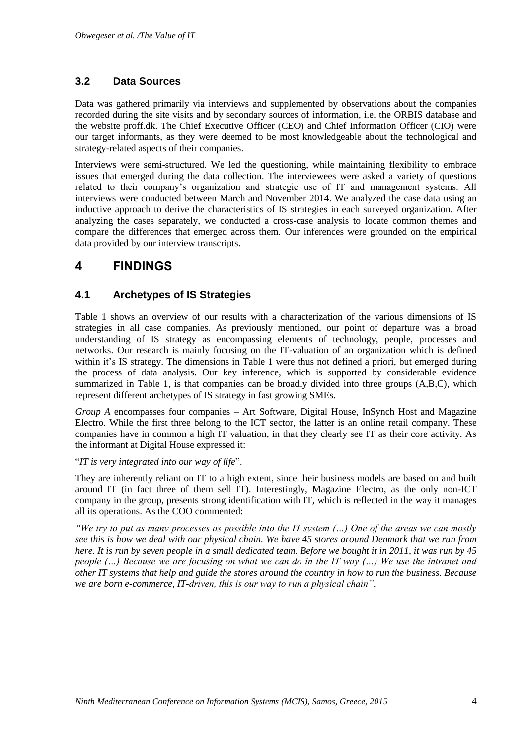### **3.2 Data Sources**

Data was gathered primarily via interviews and supplemented by observations about the companies recorded during the site visits and by secondary sources of information, i.e. the ORBIS database and the website proff.dk. The Chief Executive Officer (CEO) and Chief Information Officer (CIO) were our target informants, as they were deemed to be most knowledgeable about the technological and strategy-related aspects of their companies.

Interviews were semi-structured. We led the questioning, while maintaining flexibility to embrace issues that emerged during the data collection. The interviewees were asked a variety of questions related to their company's organization and strategic use of IT and management systems. All interviews were conducted between March and November 2014. We analyzed the case data using an inductive approach to derive the characteristics of IS strategies in each surveyed organization. After analyzing the cases separately, we conducted a cross-case analysis to locate common themes and compare the differences that emerged across them. Our inferences were grounded on the empirical data provided by our interview transcripts.

## **4 FINDINGS**

### **4.1 Archetypes of IS Strategies**

Table 1 shows an overview of our results with a characterization of the various dimensions of IS strategies in all case companies. As previously mentioned, our point of departure was a broad understanding of IS strategy as encompassing elements of technology, people, processes and networks. Our research is mainly focusing on the IT-valuation of an organization which is defined within it's IS strategy. The dimensions in Table 1 were thus not defined a priori, but emerged during the process of data analysis. Our key inference, which is supported by considerable evidence summarized in Table 1, is that companies can be broadly divided into three groups (A,B,C), which represent different archetypes of IS strategy in fast growing SMEs.

*Group A* encompasses four companies – Art Software, Digital House, InSynch Host and Magazine Electro. While the first three belong to the ICT sector, the latter is an online retail company. These companies have in common a high IT valuation, in that they clearly see IT as their core activity. As the informant at Digital House expressed it:

#### "*IT is very integrated into our way of life*".

They are inherently reliant on IT to a high extent, since their business models are based on and built around IT (in fact three of them sell IT). Interestingly, Magazine Electro, as the only non-ICT company in the group, presents strong identification with IT, which is reflected in the way it manages all its operations. As the COO commented:

*"We try to put as many processes as possible into the IT system (…) One of the areas we can mostly see this is how we deal with our physical chain. We have 45 stores around Denmark that we run from here. It is run by seven people in a small dedicated team. Before we bought it in 2011, it was run by 45 people (…) Because we are focusing on what we can do in the IT way (…) We use the intranet and other IT systems that help and guide the stores around the country in how to run the business. Because we are born e-commerce, IT-driven, this is our way to run a physical chain".*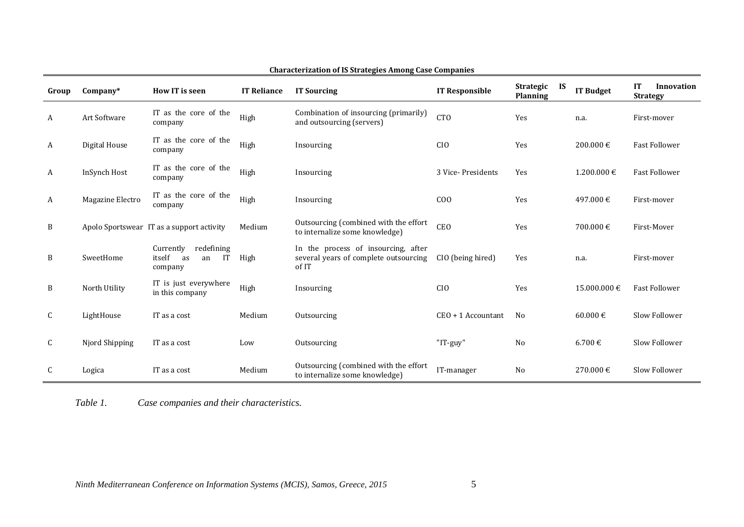| Group | $Company*$       | <b>How IT is seen</b>                                          | <b>IT Reliance</b> | <b>IT Sourcing</b>                                                                    | <b>IT Responsible</b> | <b>Strategic</b><br><b>IS</b><br>Planning | <b>IT Budget</b> | <b>IT</b><br>Innovation<br><b>Strategy</b> |
|-------|------------------|----------------------------------------------------------------|--------------------|---------------------------------------------------------------------------------------|-----------------------|-------------------------------------------|------------------|--------------------------------------------|
| A     | Art Software     | IT as the core of the<br>company                               | High               | Combination of insourcing (primarily)<br>and outsourcing (servers)                    | <b>CTO</b>            | Yes                                       | n.a.             | First-mover                                |
| A     | Digital House    | IT as the core of the<br>company                               | High               | Insourcing                                                                            | CI <sub>0</sub>       | Yes                                       | 200.000 €        | <b>Fast Follower</b>                       |
| A     | InSynch Host     | IT as the core of the<br>company                               | High               | Insourcing                                                                            | 3 Vice-Presidents     | Yes                                       | $1.200.000 \in$  | <b>Fast Follower</b>                       |
| A     | Magazine Electro | IT as the core of the<br>company                               | High               | Insourcing                                                                            | C <sub>0</sub>        | Yes                                       | 497.000 €        | First-mover                                |
| B     |                  | Apolo Sportswear IT as a support activity                      | Medium             | Outsourcing (combined with the effort<br>to internalize some knowledge)               | CEO                   | Yes                                       | 700.000 €        | First-Mover                                |
| B     | SweetHome        | redefining<br>Currently<br>itself<br>IT<br>as<br>an<br>company | High               | In the process of insourcing, after<br>several years of complete outsourcing<br>of IT | CIO (being hired)     | Yes                                       | n.a.             | First-mover                                |
| B     | North Utility    | IT is just everywhere<br>in this company                       | High               | Insourcing                                                                            | C <sub>IO</sub>       | Yes                                       | 15.000.000 €     | <b>Fast Follower</b>                       |
| C     | LightHouse       | IT as a cost                                                   | Medium             | Outsourcing                                                                           | $CEO + 1$ Accountant  | N <sub>0</sub>                            | 60.000 €         | Slow Follower                              |
| C     | Njord Shipping   | IT as a cost                                                   | Low                | Outsourcing                                                                           | "IT-guy"              | No                                        | 6.700 €          | Slow Follower                              |
| C     | Logica           | IT as a cost                                                   | Medium             | Outsourcing (combined with the effort<br>to internalize some knowledge)               | IT-manager            | No                                        | 270.000 €        | Slow Follower                              |

#### **Characterization of IS Strategies Among Case Companies**

*Table 1. Case companies and their characteristics.*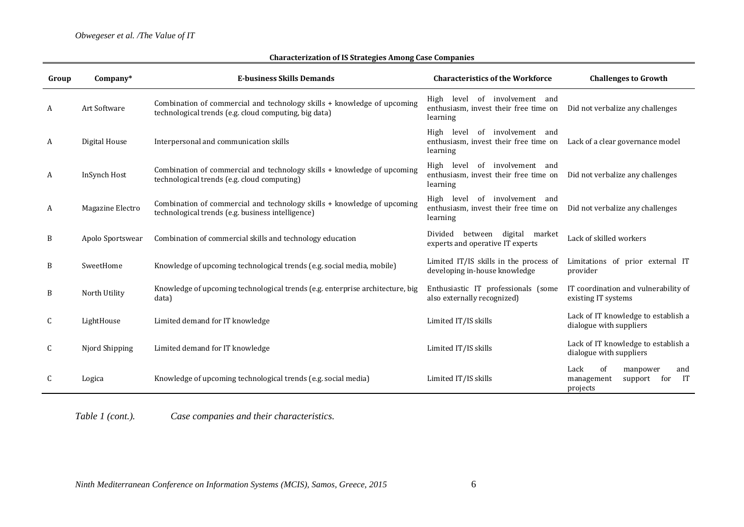| Group | $Company*$       | <b>E-business Skills Demands</b>                                                                                                 | <b>Characteristics of the Workforce</b>                                                     | <b>Challenges to Growth</b>                                                     |
|-------|------------------|----------------------------------------------------------------------------------------------------------------------------------|---------------------------------------------------------------------------------------------|---------------------------------------------------------------------------------|
| A     | Art Software     | Combination of commercial and technology skills + knowledge of upcoming<br>technological trends (e.g. cloud computing, big data) | involvement and<br>High<br>level<br>of<br>enthusiasm, invest their free time on<br>learning | Did not verbalize any challenges                                                |
| A     | Digital House    | Interpersonal and communication skills                                                                                           | of involvement and<br>level<br>High<br>enthusiasm, invest their free time on<br>learning    | Lack of a clear governance model                                                |
| A     | InSynch Host     | Combination of commercial and technology skills + knowledge of upcoming<br>technological trends (e.g. cloud computing)           | of involvement and<br>High<br>level<br>enthusiasm, invest their free time on<br>learning    | Did not verbalize any challenges                                                |
| A     | Magazine Electro | Combination of commercial and technology skills + knowledge of upcoming<br>technological trends (e.g. business intelligence)     | level<br>of involvement and<br>High<br>enthusiasm, invest their free time on<br>learning    | Did not verbalize any challenges                                                |
| B     | Apolo Sportswear | Combination of commercial skills and technology education                                                                        | Divided<br>between<br>digital market<br>experts and operative IT experts                    | Lack of skilled workers                                                         |
| B     | SweetHome        | Knowledge of upcoming technological trends (e.g. social media, mobile)                                                           | Limited IT/IS skills in the process of<br>developing in-house knowledge                     | Limitations of prior external IT<br>provider                                    |
| B     | North Utility    | Knowledge of upcoming technological trends (e.g. enterprise architecture, big<br>data)                                           | Enthusiastic IT professionals (some<br>also externally recognized)                          | IT coordination and vulnerability of<br>existing IT systems                     |
| C     | LightHouse       | Limited demand for IT knowledge                                                                                                  | Limited IT/IS skills                                                                        | Lack of IT knowledge to establish a<br>dialogue with suppliers                  |
| C     | Njord Shipping   | Limited demand for IT knowledge                                                                                                  | Limited IT/IS skills                                                                        | Lack of IT knowledge to establish a<br>dialogue with suppliers                  |
|       | Logica           | Knowledge of upcoming technological trends (e.g. social media)                                                                   | Limited IT/IS skills                                                                        | Lack<br>of<br>manpower<br>and<br>IT<br>management<br>support<br>for<br>projects |

#### **Characterization of IS Strategies Among Case Companies**

*Table 1 (cont.). Case companies and their characteristics.*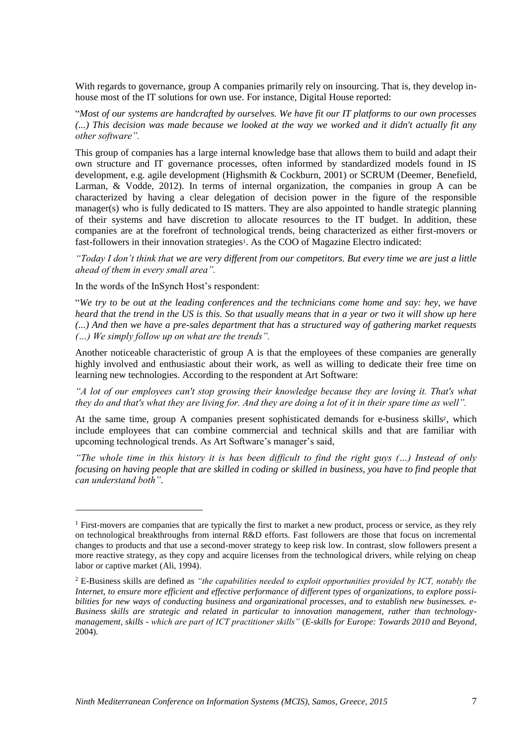With regards to governance, group A companies primarily rely on insourcing. That is, they develop inhouse most of the IT solutions for own use. For instance, Digital House reported:

"*Most of our systems are handcrafted by ourselves. We have fit our IT platforms to our own processes (...) This decision was made because we looked at the way we worked and it didn't actually fit any other software".*

This group of companies has a large internal knowledge base that allows them to build and adapt their own structure and IT governance processes, often informed by standardized models found in IS development, e.g. agile development (Highsmith & Cockburn, 2001) or SCRUM (Deemer, Benefield, Larman, & Vodde, 2012). In terms of internal organization, the companies in group A can be characterized by having a clear delegation of decision power in the figure of the responsible manager(s) who is fully dedicated to IS matters. They are also appointed to handle strategic planning of their systems and have discretion to allocate resources to the IT budget. In addition, these companies are at the forefront of technological trends, being characterized as either first-movers or fast-followers in their innovation strategies1. As the COO of Magazine Electro indicated:

*"Today I don't think that we are very different from our competitors. But every time we are just a little ahead of them in every small area".*

In the words of the InSynch Host's respondent:

-

"*We try to be out at the leading conferences and the technicians come home and say: hey, we have heard that the trend in the US is this. So that usually means that in a year or two it will show up here (...) And then we have a pre-sales department that has a structured way of gathering market requests (…) We simply follow up on what are the trends".* 

Another noticeable characteristic of group A is that the employees of these companies are generally highly involved and enthusiastic about their work, as well as willing to dedicate their free time on learning new technologies. According to the respondent at Art Software:

*"A lot of our employees can't stop growing their knowledge because they are loving it. That's what they do and that's what they are living for. And they are doing a lot of it in their spare time as well".* 

At the same time, group A companies present sophisticated demands for e-business skills<sup>2</sup>, which include employees that can combine commercial and technical skills and that are familiar with upcoming technological trends. As Art Software's manager's said,

*"The whole time in this history it is has been difficult to find the right guys (…) Instead of only focusing on having people that are skilled in coding or skilled in business, you have to find people that can understand both"*.

 $<sup>1</sup>$  First-movers are companies that are typically the first to market a new product, process or service, as they rely</sup> on technological breakthroughs from internal R&D efforts. Fast followers are those that focus on incremental changes to products and that use a second-mover strategy to keep risk low. In contrast, slow followers present a more reactive strategy, as they copy and acquire licenses from the technological drivers, while relying on cheap labor or captive market (Ali, 1994).

<sup>2</sup> E-Business skills are defined as *"the capabilities needed to exploit opportunities provided by ICT, notably the Internet, to ensure more efficient and effective performance of different types of organizations, to explore possibilities for new ways of conducting business and organizational processes, and to establish new businesses. e-Business skills are strategic and related in particular to innovation management, rather than technologymanagement, skills - which are part of ICT practitioner skills"* (*E-skills for Europe: Towards 2010 and Beyond*, 2004)*.*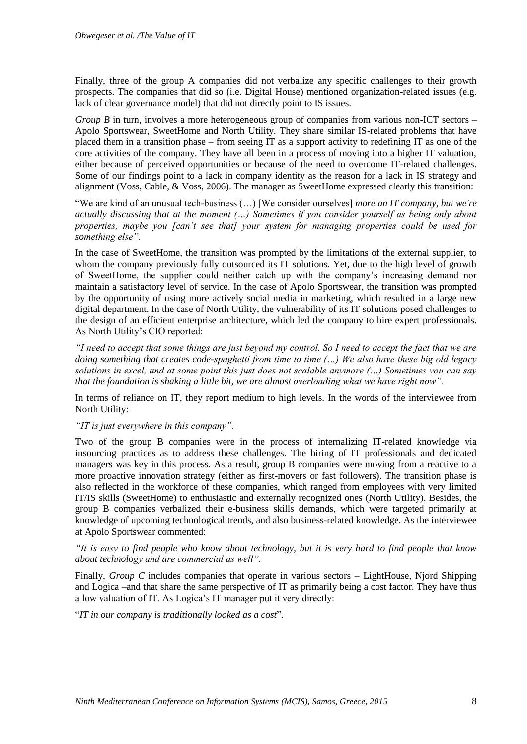Finally, three of the group A companies did not verbalize any specific challenges to their growth prospects. The companies that did so (i.e. Digital House) mentioned organization-related issues (e.g. lack of clear governance model) that did not directly point to IS issues.

*Group B* in turn, involves a more heterogeneous group of companies from various non-ICT sectors – Apolo Sportswear, SweetHome and North Utility. They share similar IS-related problems that have placed them in a transition phase – from seeing IT as a support activity to redefining IT as one of the core activities of the company. They have all been in a process of moving into a higher IT valuation, either because of perceived opportunities or because of the need to overcome IT-related challenges. Some of our findings point to a lack in company identity as the reason for a lack in IS strategy and alignment (Voss, Cable, & Voss, 2006). The manager as SweetHome expressed clearly this transition:

"We are kind of an unusual tech-business (…) [We consider ourselves] *more an IT company, but we're actually discussing that at the moment (…) Sometimes if you consider yourself as being only about properties, maybe you [can't see that] your system for managing properties could be used for something else".*

In the case of SweetHome, the transition was prompted by the limitations of the external supplier, to whom the company previously fully outsourced its IT solutions. Yet, due to the high level of growth of SweetHome, the supplier could neither catch up with the company's increasing demand nor maintain a satisfactory level of service. In the case of Apolo Sportswear, the transition was prompted by the opportunity of using more actively social media in marketing, which resulted in a large new digital department. In the case of North Utility, the vulnerability of its IT solutions posed challenges to the design of an efficient enterprise architecture, which led the company to hire expert professionals. As North Utility's CIO reported:

*"I need to accept that some things are just beyond my control. So I need to accept the fact that we are doing something that creates code-spaghetti from time to time (…) We also have these big old legacy solutions in excel, and at some point this just does not scalable anymore (…) Sometimes you can say that the foundation is shaking a little bit, we are almost overloading what we have right now".*

In terms of reliance on IT, they report medium to high levels. In the words of the interviewee from North Utility:

*"IT is just everywhere in this company".* 

Two of the group B companies were in the process of internalizing IT-related knowledge via insourcing practices as to address these challenges. The hiring of IT professionals and dedicated managers was key in this process. As a result, group B companies were moving from a reactive to a more proactive innovation strategy (either as first-movers or fast followers). The transition phase is also reflected in the workforce of these companies, which ranged from employees with very limited IT/IS skills (SweetHome) to enthusiastic and externally recognized ones (North Utility). Besides, the group B companies verbalized their e-business skills demands, which were targeted primarily at knowledge of upcoming technological trends, and also business-related knowledge. As the interviewee at Apolo Sportswear commented:

*"It is easy to find people who know about technology, but it is very hard to find people that know about technology and are commercial as well".*

Finally, *Group C* includes companies that operate in various sectors – LightHouse, Njord Shipping and Logica –and that share the same perspective of IT as primarily being a cost factor. They have thus a low valuation of IT. As Logica's IT manager put it very directly:

"*IT in our company is traditionally looked as a cost*".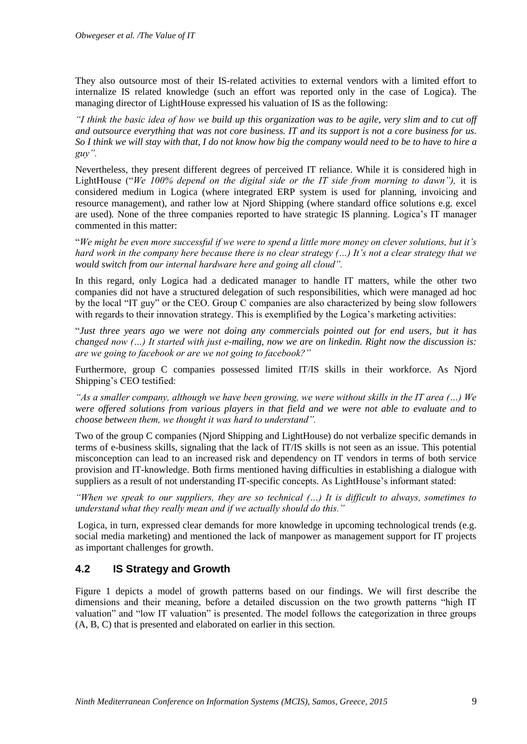They also outsource most of their IS-related activities to external vendors with a limited effort to internalize IS related knowledge (such an effort was reported only in the case of Logica). The managing director of LightHouse expressed his valuation of IS as the following:

*"I think the basic idea of how we build up this organization was to be agile, very slim and to cut off and outsource everything that was not core business. IT and its support is not a core business for us. So I think we will stay with that, I do not know how big the company would need to be to have to hire a guy".*

Nevertheless, they present different degrees of perceived IT reliance. While it is considered high in LightHouse ("*We 100% depend on the digital side or the IT side from morning to dawn"),* it is considered medium in Logica (where integrated ERP system is used for planning, invoicing and resource management), and rather low at Njord Shipping (where standard office solutions e.g. excel are used)*.* None of the three companies reported to have strategic IS planning. Logica's IT manager commented in this matter:

"*We might be even more successful if we were to spend a little more money on clever solutions, but it's hard work in the company here because there is no clear strategy (…) It's not a clear strategy that we would switch from our internal hardware here and going all cloud".*

In this regard, only Logica had a dedicated manager to handle IT matters, while the other two companies did not have a structured delegation of such responsibilities, which were managed ad hoc by the local "IT guy" or the CEO. Group C companies are also characterized by being slow followers with regards to their innovation strategy. This is exemplified by the Logica's marketing activities:

"*Just three years ago we were not doing any commercials pointed out for end users, but it has changed now (…) It started with just e-mailing, now we are on linkedin. Right now the discussion is: are we going to facebook or are we not going to facebook?"* 

Furthermore, group C companies possessed limited IT/IS skills in their workforce. As Njord Shipping's CEO testified:

*"As a smaller company, although we have been growing, we were without skills in the IT area (…) We were offered solutions from various players in that field and we were not able to evaluate and to choose between them, we thought it was hard to understand".*

Two of the group C companies (Njord Shipping and LightHouse) do not verbalize specific demands in terms of e-business skills, signaling that the lack of IT/IS skills is not seen as an issue. This potential misconception can lead to an increased risk and dependency on IT vendors in terms of both service provision and IT-knowledge. Both firms mentioned having difficulties in establishing a dialogue with suppliers as a result of not understanding IT-specific concepts. As LightHouse's informant stated:

*"When we speak to our suppliers, they are so technical (…) It is difficult to always, sometimes to understand what they really mean and if we actually should do this."*

Logica, in turn, expressed clear demands for more knowledge in upcoming technological trends (e.g. social media marketing) and mentioned the lack of manpower as management support for IT projects as important challenges for growth.

### **4.2 IS Strategy and Growth**

Figure 1 depicts a model of growth patterns based on our findings. We will first describe the dimensions and their meaning, before a detailed discussion on the two growth patterns "high IT valuation" and "low IT valuation" is presented. The model follows the categorization in three groups (A, B, C) that is presented and elaborated on earlier in this section.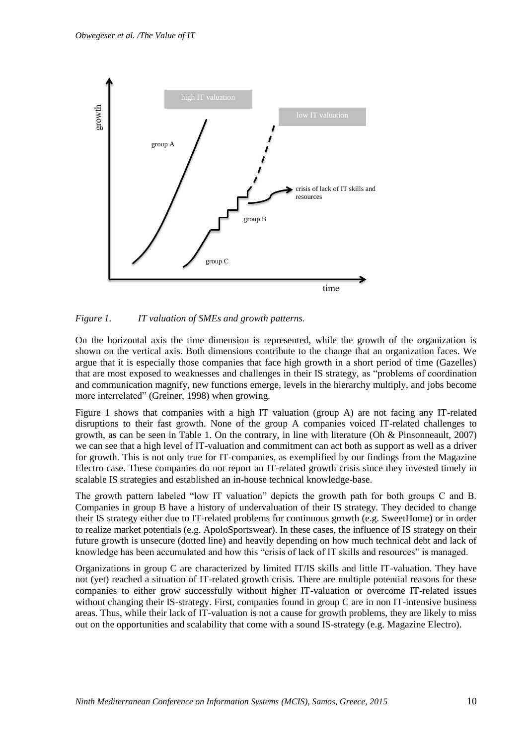

*Figure 1. IT valuation of SMEs and growth patterns.*

On the horizontal axis the time dimension is represented, while the growth of the organization is shown on the vertical axis. Both dimensions contribute to the change that an organization faces. We argue that it is especially those companies that face high growth in a short period of time (Gazelles) that are most exposed to weaknesses and challenges in their IS strategy, as "problems of coordination and communication magnify, new functions emerge, levels in the hierarchy multiply, and jobs become more interrelated" (Greiner, 1998) when growing.

Figure 1 shows that companies with a high IT valuation (group A) are not facing any IT-related disruptions to their fast growth. None of the group A companies voiced IT-related challenges to growth, as can be seen in Table 1. On the contrary, in line with literature (Oh & Pinsonneault, 2007) we can see that a high level of IT-valuation and commitment can act both as support as well as a driver for growth. This is not only true for IT-companies, as exemplified by our findings from the Magazine Electro case. These companies do not report an IT-related growth crisis since they invested timely in scalable IS strategies and established an in-house technical knowledge-base.

The growth pattern labeled "low IT valuation" depicts the growth path for both groups C and B. Companies in group B have a history of undervaluation of their IS strategy. They decided to change their IS strategy either due to IT-related problems for continuous growth (e.g. SweetHome) or in order to realize market potentials (e.g. ApoloSportswear). In these cases, the influence of IS strategy on their future growth is unsecure (dotted line) and heavily depending on how much technical debt and lack of knowledge has been accumulated and how this "crisis of lack of IT skills and resources" is managed.

Organizations in group C are characterized by limited IT/IS skills and little IT-valuation. They have not (yet) reached a situation of IT-related growth crisis. There are multiple potential reasons for these companies to either grow successfully without higher IT-valuation or overcome IT-related issues without changing their IS-strategy. First, companies found in group C are in non IT-intensive business areas. Thus, while their lack of IT-valuation is not a cause for growth problems, they are likely to miss out on the opportunities and scalability that come with a sound IS-strategy (e.g. Magazine Electro).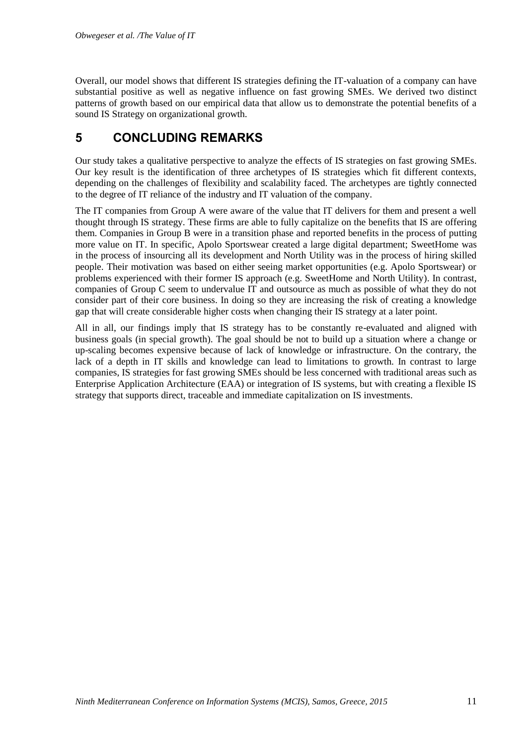Overall, our model shows that different IS strategies defining the IT-valuation of a company can have substantial positive as well as negative influence on fast growing SMEs. We derived two distinct patterns of growth based on our empirical data that allow us to demonstrate the potential benefits of a sound IS Strategy on organizational growth.

## **5 CONCLUDING REMARKS**

Our study takes a qualitative perspective to analyze the effects of IS strategies on fast growing SMEs. Our key result is the identification of three archetypes of IS strategies which fit different contexts, depending on the challenges of flexibility and scalability faced. The archetypes are tightly connected to the degree of IT reliance of the industry and IT valuation of the company.

The IT companies from Group A were aware of the value that IT delivers for them and present a well thought through IS strategy. These firms are able to fully capitalize on the benefits that IS are offering them. Companies in Group B were in a transition phase and reported benefits in the process of putting more value on IT. In specific, Apolo Sportswear created a large digital department; SweetHome was in the process of insourcing all its development and North Utility was in the process of hiring skilled people. Their motivation was based on either seeing market opportunities (e.g. Apolo Sportswear) or problems experienced with their former IS approach (e.g. SweetHome and North Utility). In contrast, companies of Group C seem to undervalue IT and outsource as much as possible of what they do not consider part of their core business. In doing so they are increasing the risk of creating a knowledge gap that will create considerable higher costs when changing their IS strategy at a later point.

All in all, our findings imply that IS strategy has to be constantly re-evaluated and aligned with business goals (in special growth). The goal should be not to build up a situation where a change or up-scaling becomes expensive because of lack of knowledge or infrastructure. On the contrary, the lack of a depth in IT skills and knowledge can lead to limitations to growth. In contrast to large companies, IS strategies for fast growing SMEs should be less concerned with traditional areas such as Enterprise Application Architecture (EAA) or integration of IS systems, but with creating a flexible IS strategy that supports direct, traceable and immediate capitalization on IS investments.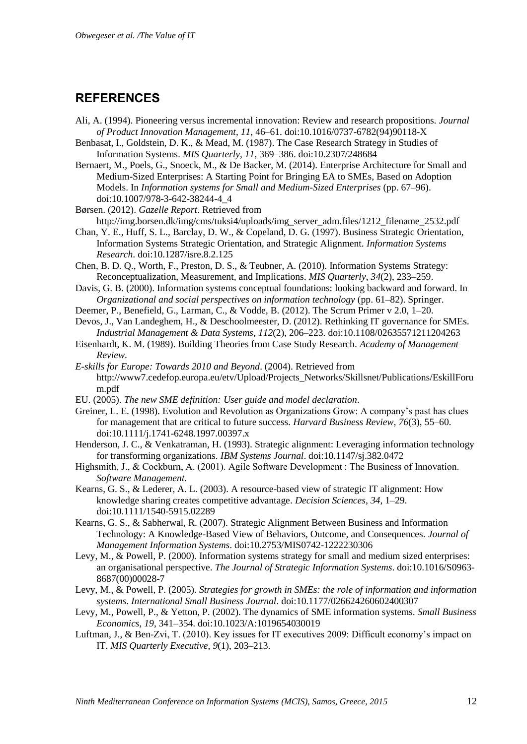### **REFERENCES**

- Ali, A. (1994). Pioneering versus incremental innovation: Review and research propositions. *Journal of Product Innovation Management*, *11*, 46–61. doi:10.1016/0737-6782(94)90118-X
- Benbasat, I., Goldstein, D. K., & Mead, M. (1987). The Case Research Strategy in Studies of Information Systems. *MIS Quarterly*, *11*, 369–386. doi:10.2307/248684
- Bernaert, M., Poels, G., Snoeck, M., & De Backer, M. (2014). Enterprise Architecture for Small and Medium-Sized Enterprises: A Starting Point for Bringing EA to SMEs, Based on Adoption Models. In *Information systems for Small and Medium-Sized Enterprises* (pp. 67–96). doi:10.1007/978-3-642-38244-4\_4
- Børsen. (2012). *Gazelle Report*. Retrieved from
- http://img.borsen.dk/img/cms/tuksi4/uploads/img\_server\_adm.files/1212\_filename\_2532.pdf
- Chan, Y. E., Huff, S. L., Barclay, D. W., & Copeland, D. G. (1997). Business Strategic Orientation, Information Systems Strategic Orientation, and Strategic Alignment. *Information Systems Research*. doi:10.1287/isre.8.2.125
- Chen, B. D. Q., Worth, F., Preston, D. S., & Teubner, A. (2010). Information Systems Strategy: Reconceptualization, Measurement, and Implications. *MIS Quarterly*, *34*(2), 233–259.
- Davis, G. B. (2000). Information systems conceptual foundations: looking backward and forward. In *Organizational and social perspectives on information technology* (pp. 61–82). Springer.
- Deemer, P., Benefield, G., Larman, C., & Vodde, B. (2012). The Scrum Primer v 2.0, 1–20.
- Devos, J., Van Landeghem, H., & Deschoolmeester, D. (2012). Rethinking IT governance for SMEs. *Industrial Management & Data Systems*, *112*(2), 206–223. doi:10.1108/02635571211204263
- Eisenhardt, K. M. (1989). Building Theories from Case Study Research. *Academy of Management Review*.
- *E-skills for Europe: Towards 2010 and Beyond*. (2004). Retrieved from http://www7.cedefop.europa.eu/etv/Upload/Projects\_Networks/Skillsnet/Publications/EskillForu m.pdf
- EU. (2005). *The new SME definition: User guide and model declaration*.
- Greiner, L. E. (1998). Evolution and Revolution as Organizations Grow: A company's past has clues for management that are critical to future success. *Harvard Business Review*, *76*(3), 55–60. doi:10.1111/j.1741-6248.1997.00397.x
- Henderson, J. C., & Venkatraman, H. (1993). Strategic alignment: Leveraging information technology for transforming organizations. *IBM Systems Journal*. doi:10.1147/sj.382.0472
- Highsmith, J., & Cockburn, A. (2001). Agile Software Development : The Business of Innovation. *Software Management*.
- Kearns, G. S., & Lederer, A. L. (2003). A resource-based view of strategic IT alignment: How knowledge sharing creates competitive advantage. *Decision Sciences*, *34*, 1–29. doi:10.1111/1540-5915.02289
- Kearns, G. S., & Sabherwal, R. (2007). Strategic Alignment Between Business and Information Technology: A Knowledge-Based View of Behaviors, Outcome, and Consequences. *Journal of Management Information Systems*. doi:10.2753/MIS0742-1222230306
- Levy, M., & Powell, P. (2000). Information systems strategy for small and medium sized enterprises: an organisational perspective. *The Journal of Strategic Information Systems*. doi:10.1016/S0963- 8687(00)00028-7
- Levy, M., & Powell, P. (2005). *Strategies for growth in SMEs: the role of information and information systems*. *International Small Business Journal*. doi:10.1177/026624260602400307
- Levy, M., Powell, P., & Yetton, P. (2002). The dynamics of SME information systems. *Small Business Economics*, *19*, 341–354. doi:10.1023/A:1019654030019
- Luftman, J., & Ben-Zvi, T. (2010). Key issues for IT executives 2009: Difficult economy's impact on IT. *MIS Quarterly Executive*, *9*(1), 203–213.